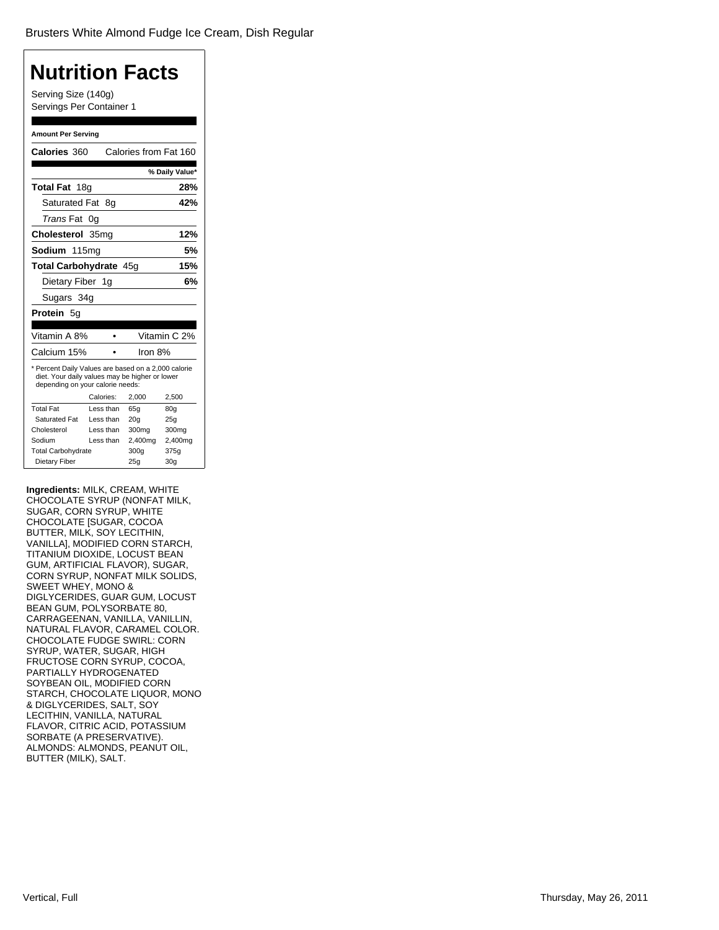### **[Nutrition Facts](�)** Serving Size (140g) Servings Per Container 1 **Amount Per Serving Calories** 360 Calories from Fat 160 **% Daily Value\* Total Fat** 18g **28%** Saturated Fat 8g **42%** *Trans* Fat 0g **Cholesterol** 35mg **12% Sodium** 115mg **5% Total Carbohydrate** 45g **15%** Dietary Fiber 1g **6%** Sugars 34g **Protein** 5g Vitamin A 8% • Vitamin C 2% Calcium 15% • Iron 8% \* Percent Daily Values are based on a 2,000 calorie diet. Your daily values may be higher or lower depending on your calorie needs: Calories: 2,000 2,500 Total Fat Less than 65g 80g Saturated Fat Less than 20g 25g Cholesterol Less than 300mg 300mg Sodium Less than 2,400mg 2,400mg<br>Total Carbohydrate 300g 375g Total Carbohydrate 300g Dietary Fiber 25g 30g

**Ingredients:** MILK, CREAM, WHITE CHOCOLATE SYRUP (NONFAT MILK, SUGAR, CORN SYRUP, WHITE CHOCOLATE [SUGAR, COCOA BUTTER, MILK, SOY LECITHIN, VANILLA], MODIFIED CORN STARCH, TITANIUM DIOXIDE, LOCUST BEAN GUM, ARTIFICIAL FLAVOR), SUGAR, CORN SYRUP, NONFAT MILK SOLIDS, SWEET WHEY, MONO & DIGLYCERIDES, GUAR GUM, LOCUST BEAN GUM, POLYSORBATE 80, CARRAGEENAN, VANILLA, VANILLIN, NATURAL FLAVOR, CARAMEL COLOR. CHOCOLATE FUDGE SWIRL: CORN SYRUP, WATER, SUGAR, HIGH FRUCTOSE CORN SYRUP, COCOA, PARTIALLY HYDROGENATED SOYBEAN OIL, MODIFIED CORN STARCH, CHOCOLATE LIQUOR, MONO & DIGLYCERIDES, SALT, SOY LECITHIN, VANILLA, NATURAL FLAVOR, CITRIC ACID, POTASSIUM SORBATE (A PRESERVATIVE). ALMONDS: ALMONDS, PEANUT OIL, BUTTER (MILK), SALT.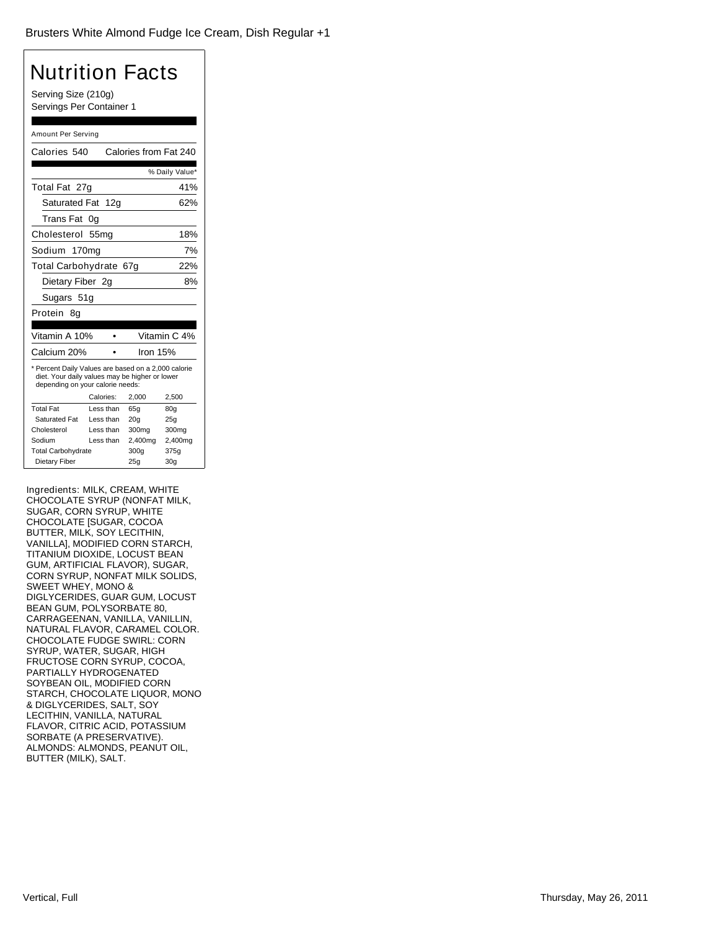| <b>Nutrition Facts</b>                                                                                                                    |                                                 |                       |                 |
|-------------------------------------------------------------------------------------------------------------------------------------------|-------------------------------------------------|-----------------------|-----------------|
|                                                                                                                                           | Serving Size (210g)<br>Servings Per Container 1 |                       |                 |
|                                                                                                                                           |                                                 |                       |                 |
| Amount Per Serving                                                                                                                        |                                                 |                       |                 |
| Calories 540                                                                                                                              |                                                 | Calories from Fat 240 |                 |
|                                                                                                                                           |                                                 |                       | % Daily Value*  |
| Total Fat 27g                                                                                                                             |                                                 |                       | 41%             |
| Saturated Fat                                                                                                                             | 12 <sub>q</sub>                                 |                       | 62%             |
| Trans Fat                                                                                                                                 | 0g                                              |                       |                 |
| Cholesterol                                                                                                                               | 55mg                                            |                       | 18%             |
| Sodium                                                                                                                                    | 170 <sub>mg</sub>                               |                       | 7%              |
|                                                                                                                                           |                                                 |                       |                 |
| Total Carbohydrate 67g<br>22%                                                                                                             |                                                 |                       |                 |
| Dietary Fiber 2g                                                                                                                          |                                                 |                       | 8%              |
| Sugars 51g                                                                                                                                |                                                 |                       |                 |
| Protein 8q                                                                                                                                |                                                 |                       |                 |
| Vitamin A 10%                                                                                                                             |                                                 |                       | Vitamin C 4%    |
|                                                                                                                                           |                                                 |                       |                 |
|                                                                                                                                           | Calcium 20%<br>Iron 15%                         |                       |                 |
| * Percent Daily Values are based on a 2,000 calorie<br>diet. Your daily values may be higher or lower<br>depending on your calorie needs: |                                                 |                       |                 |
|                                                                                                                                           | Calories:                                       | 2,000                 | 2,500           |
| <b>Total Fat</b>                                                                                                                          | Less than                                       | 65a                   | 80a             |
| Saturated Fat                                                                                                                             | Less than                                       | 20 <sub>g</sub>       | 25g             |
| Cholesterol                                                                                                                               | Less than                                       | 300mg                 | 300mg           |
| Sodium                                                                                                                                    | Less than                                       | 2,400mg               | 2,400mg         |
| Dietary Fiber                                                                                                                             | <b>Total Carbohydrate</b><br>375g<br>300q       |                       |                 |
|                                                                                                                                           |                                                 | 25g                   | 30 <sub>g</sub> |

Ingredients: MILK, CREAM, WHITE CHOCOLATE SYRUP (NONFAT MILK, SUGAR, CORN SYRUP, WHITE CHOCOLATE [SUGAR, COCOA BUTTER, MILK, SOY LECITHIN, VANILLA], MODIFIED CORN STARCH, TITANIUM DIOXIDE, LOCUST BEAN GUM, ARTIFICIAL FLAVOR), SUGAR, CORN SYRUP, NONFAT MILK SOLIDS, SWEET WHEY, MONO & DIGLYCERIDES, GUAR GUM, LOCUST BEAN GUM, POLYSORBATE 80, CARRAGEENAN, VANILLA, VANILLIN, NATURAL FLAVOR, CARAMEL COLOR. CHOCOLATE FUDGE SWIRL: CORN SYRUP, WATER, SUGAR, HIGH FRUCTOSE CORN SYRUP, COCOA, PARTIALLY HYDROGENATED SOYBEAN OIL, MODIFIED CORN STARCH, CHOCOLATE LIQUOR, MONO & DIGLYCERIDES, SALT, SOY LECITHIN, VANILLA, NATURAL FLAVOR, CITRIC ACID, POTASSIUM SORBATE (A PRESERVATIVE). ALMONDS: ALMONDS, PEANUT OIL, BUTTER (MILK), SALT.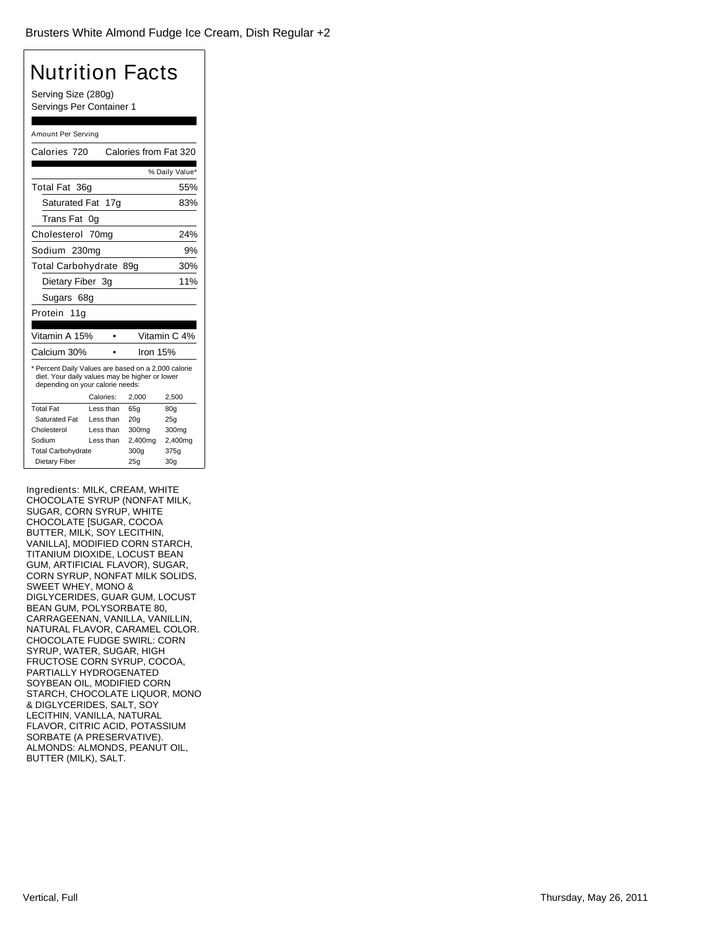| Nutrition Facts                                                                                                                           |                                           |                       |                   |
|-------------------------------------------------------------------------------------------------------------------------------------------|-------------------------------------------|-----------------------|-------------------|
| Serving Size (280g)<br>Servings Per Container 1                                                                                           |                                           |                       |                   |
|                                                                                                                                           |                                           |                       |                   |
| Amount Per Serving                                                                                                                        |                                           |                       |                   |
| Calories 720                                                                                                                              |                                           | Calories from Fat 320 |                   |
|                                                                                                                                           |                                           |                       | % Daily Value*    |
| Total Fat 36g                                                                                                                             |                                           |                       | 55%               |
| Saturated Fat                                                                                                                             | 17g                                       |                       | 83%               |
| Trans Fat                                                                                                                                 | 0a                                        |                       |                   |
| Cholesterol 70mg                                                                                                                          |                                           |                       | 24%               |
| Sodium 230mg                                                                                                                              |                                           |                       | 9%                |
| Total Carbohydrate 89g                                                                                                                    |                                           |                       | 30%               |
|                                                                                                                                           | 11%<br>Dietary Fiber 3g                   |                       |                   |
| Sugars 68g                                                                                                                                |                                           |                       |                   |
| Protein 11g                                                                                                                               |                                           |                       |                   |
| Vitamin A 15%                                                                                                                             |                                           |                       | Vitamin C 4%      |
|                                                                                                                                           | Calcium 30%<br>Iron 15%                   |                       |                   |
| * Percent Daily Values are based on a 2,000 calorie<br>diet. Your daily values may be higher or lower<br>depending on your calorie needs: |                                           |                       |                   |
|                                                                                                                                           | Calories:                                 | 2,000                 | 2,500             |
| <b>Total Fat</b>                                                                                                                          | Less than                                 | 65q                   | 80a               |
| <b>Saturated Fat</b>                                                                                                                      | Less than                                 | 20 <sub>g</sub>       | 25g               |
| Cholesterol                                                                                                                               | Less than                                 | 300mg                 | 300 <sub>mg</sub> |
|                                                                                                                                           | Sodium<br>Less than<br>2,400mg<br>2,400mg |                       |                   |
| <b>Total Carbohydrate</b><br>300g<br>375g                                                                                                 |                                           |                       |                   |
| Dietary Fiber                                                                                                                             |                                           | 25g                   | 30 <sub>g</sub>   |

Ingredients: MILK, CREAM, WHITE CHOCOLATE SYRUP (NONFAT MILK, SUGAR, CORN SYRUP, WHITE CHOCOLATE [SUGAR, COCOA BUTTER, MILK, SOY LECITHIN, VANILLA], MODIFIED CORN STARCH, TITANIUM DIOXIDE, LOCUST BEAN GUM, ARTIFICIAL FLAVOR), SUGAR, CORN SYRUP, NONFAT MILK SOLIDS, SWEET WHEY, MONO & DIGLYCERIDES, GUAR GUM, LOCUST BEAN GUM, POLYSORBATE 80, CARRAGEENAN, VANILLA, VANILLIN, NATURAL FLAVOR, CARAMEL COLOR. CHOCOLATE FUDGE SWIRL: CORN SYRUP, WATER, SUGAR, HIGH FRUCTOSE CORN SYRUP, COCOA, PARTIALLY HYDROGENATED SOYBEAN OIL, MODIFIED CORN STARCH, CHOCOLATE LIQUOR, MONO & DIGLYCERIDES, SALT, SOY LECITHIN, VANILLA, NATURAL FLAVOR, CITRIC ACID, POTASSIUM SORBATE (A PRESERVATIVE). ALMONDS: ALMONDS, PEANUT OIL, BUTTER (MILK), SALT.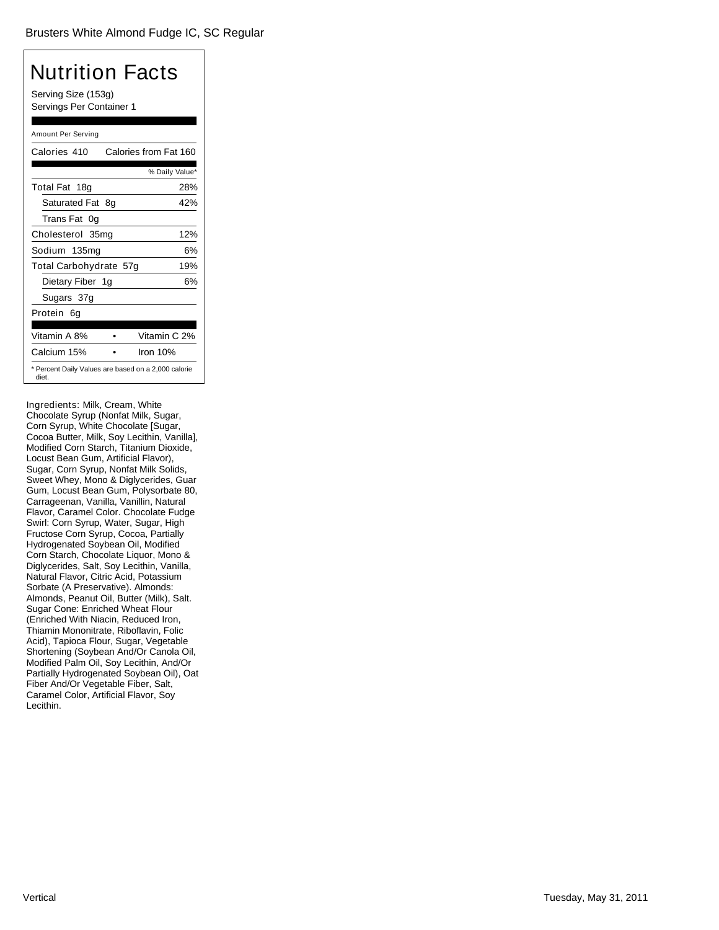Serving Size (153g) Servings Per Container 1

#### Amount Per Serving

| Calories 410           |    | Calories from Fat 160                               |
|------------------------|----|-----------------------------------------------------|
|                        |    | % Daily Value*                                      |
| Total Fat 18g          |    | 28%                                                 |
| Saturated Fat          | 8g | 42%                                                 |
| Trans Fat 0q           |    |                                                     |
| Cholesterol 35mg       |    | 12%                                                 |
| Sodium 135mg           |    | 6%                                                  |
| Total Carbohydrate 57g |    | 19%                                                 |
| Dietary Fiber 1g       |    | 6%                                                  |
| Sugars 37g             |    |                                                     |
| Protein 6q             |    |                                                     |
|                        |    |                                                     |
| Vitamin A 8%           |    | Vitamin C 2%                                        |
| Calcium 15%            |    | Iron $10%$                                          |
| diet.                  |    | * Percent Daily Values are based on a 2,000 calorie |

Ingredients: Milk, Cream, White Chocolate Syrup (Nonfat Milk, Sugar, Corn Syrup, White Chocolate [Sugar, Cocoa Butter, Milk, Soy Lecithin, Vanilla], Modified Corn Starch, Titanium Dioxide, Locust Bean Gum, Artificial Flavor), Sugar, Corn Syrup, Nonfat Milk Solids, Sweet Whey, Mono & Diglycerides, Guar Gum, Locust Bean Gum, Polysorbate 80, Carrageenan, Vanilla, Vanillin, Natural Flavor, Caramel Color. Chocolate Fudge Swirl: Corn Syrup, Water, Sugar, High Fructose Corn Syrup, Cocoa, Partially Hydrogenated Soybean Oil, Modified Corn Starch, Chocolate Liquor, Mono & Diglycerides, Salt, Soy Lecithin, Vanilla, Natural Flavor, Citric Acid, Potassium Sorbate (A Preservative). Almonds: Almonds, Peanut Oil, Butter (Milk), Salt. Sugar Cone: Enriched Wheat Flour (Enriched With Niacin, Reduced Iron, Thiamin Mononitrate, Riboflavin, Folic Acid), Tapioca Flour, Sugar, Vegetable Shortening (Soybean And/Or Canola Oil, Modified Palm Oil, Soy Lecithin, And/Or Partially Hydrogenated Soybean Oil), Oat Fiber And/Or Vegetable Fiber, Salt, Caramel Color, Artificial Flavor, Soy Lecithin.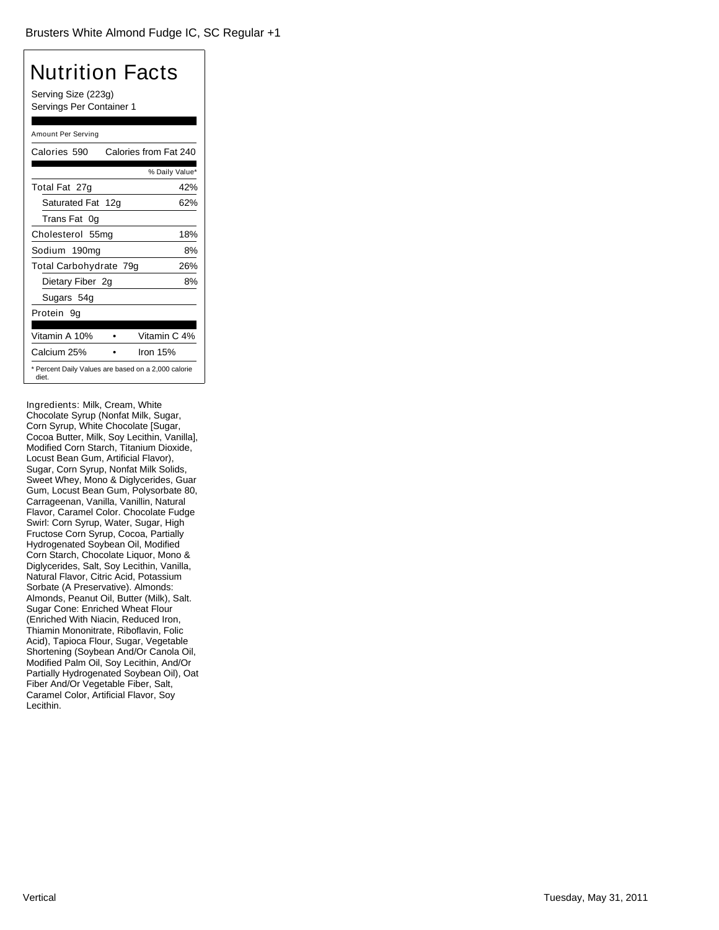Serving Size (223g) Servings Per Container 1

#### Amount Per Serving

| Calories 590                                                 | Calories from Fat 240 |
|--------------------------------------------------------------|-----------------------|
|                                                              | % Daily Value*        |
| Total Fat 27g                                                | 42%                   |
| Saturated Fat 12g                                            | 62%                   |
| Trans Fat 0q                                                 |                       |
| Cholesterol 55mg                                             | 18%                   |
| Sodium 190mg                                                 | 8%                    |
| Total Carbohydrate 79g                                       | 26%                   |
| Dietary Fiber 2g                                             | 8%                    |
| Sugars 54g                                                   |                       |
| Protein 9q                                                   |                       |
|                                                              |                       |
| Vitamin A 10%                                                | Vitamin C 4%          |
| Calcium 25%                                                  | Iron $15%$            |
| * Percent Daily Values are based on a 2,000 calorie<br>diet. |                       |

Ingredients: Milk, Cream, White Chocolate Syrup (Nonfat Milk, Sugar, Corn Syrup, White Chocolate [Sugar, Cocoa Butter, Milk, Soy Lecithin, Vanilla], Modified Corn Starch, Titanium Dioxide, Locust Bean Gum, Artificial Flavor), Sugar, Corn Syrup, Nonfat Milk Solids, Sweet Whey, Mono & Diglycerides, Guar Gum, Locust Bean Gum, Polysorbate 80, Carrageenan, Vanilla, Vanillin, Natural Flavor, Caramel Color. Chocolate Fudge Swirl: Corn Syrup, Water, Sugar, High Fructose Corn Syrup, Cocoa, Partially Hydrogenated Soybean Oil, Modified Corn Starch, Chocolate Liquor, Mono & Diglycerides, Salt, Soy Lecithin, Vanilla, Natural Flavor, Citric Acid, Potassium Sorbate (A Preservative). Almonds: Almonds, Peanut Oil, Butter (Milk), Salt. Sugar Cone: Enriched Wheat Flour (Enriched With Niacin, Reduced Iron, Thiamin Mononitrate, Riboflavin, Folic Acid), Tapioca Flour, Sugar, Vegetable Shortening (Soybean And/Or Canola Oil, Modified Palm Oil, Soy Lecithin, And/Or Partially Hydrogenated Soybean Oil), Oat Fiber And/Or Vegetable Fiber, Salt, Caramel Color, Artificial Flavor, Soy Lecithin.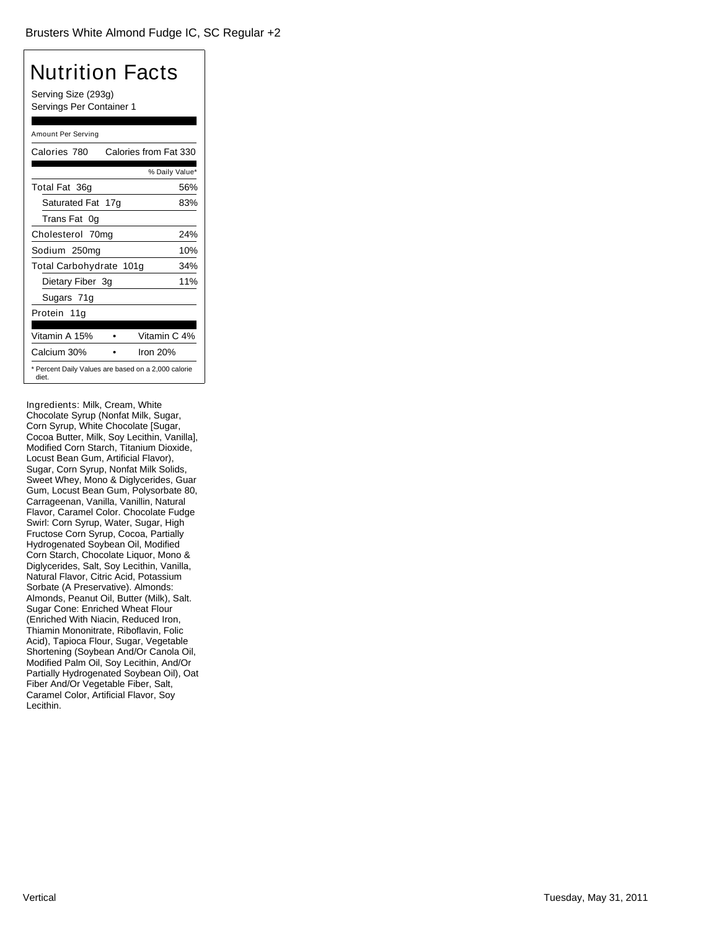Serving Size (293g) Servings Per Container 1

#### Amount Per Serving

| Calories 780            | Calories from Fat 330                               |
|-------------------------|-----------------------------------------------------|
|                         | % Daily Value*                                      |
| Total Fat 36g           | 56%                                                 |
| Saturated Fat 17g       | 83%                                                 |
| Trans Fat 0g            |                                                     |
| Cholesterol 70mg        | 24%                                                 |
| Sodium 250mg            | 10%                                                 |
| Total Carbohydrate 101g | 34%                                                 |
| Dietary Fiber 3g        | 11%                                                 |
| Sugars 71g              |                                                     |
| Protein 11a             |                                                     |
|                         |                                                     |
| Vitamin A 15%           | Vitamin C 4%                                        |
| Calcium 30%             | Iron 20%                                            |
| diet.                   | * Percent Daily Values are based on a 2,000 calorie |

Ingredients: Milk, Cream, White Chocolate Syrup (Nonfat Milk, Sugar, Corn Syrup, White Chocolate [Sugar, Cocoa Butter, Milk, Soy Lecithin, Vanilla], Modified Corn Starch, Titanium Dioxide, Locust Bean Gum, Artificial Flavor), Sugar, Corn Syrup, Nonfat Milk Solids, Sweet Whey, Mono & Diglycerides, Guar Gum, Locust Bean Gum, Polysorbate 80, Carrageenan, Vanilla, Vanillin, Natural Flavor, Caramel Color. Chocolate Fudge Swirl: Corn Syrup, Water, Sugar, High Fructose Corn Syrup, Cocoa, Partially Hydrogenated Soybean Oil, Modified Corn Starch, Chocolate Liquor, Mono & Diglycerides, Salt, Soy Lecithin, Vanilla, Natural Flavor, Citric Acid, Potassium Sorbate (A Preservative). Almonds: Almonds, Peanut Oil, Butter (Milk), Salt. Sugar Cone: Enriched Wheat Flour (Enriched With Niacin, Reduced Iron, Thiamin Mononitrate, Riboflavin, Folic Acid), Tapioca Flour, Sugar, Vegetable Shortening (Soybean And/Or Canola Oil, Modified Palm Oil, Soy Lecithin, And/Or Partially Hydrogenated Soybean Oil), Oat Fiber And/Or Vegetable Fiber, Salt, Caramel Color, Artificial Flavor, Soy Lecithin.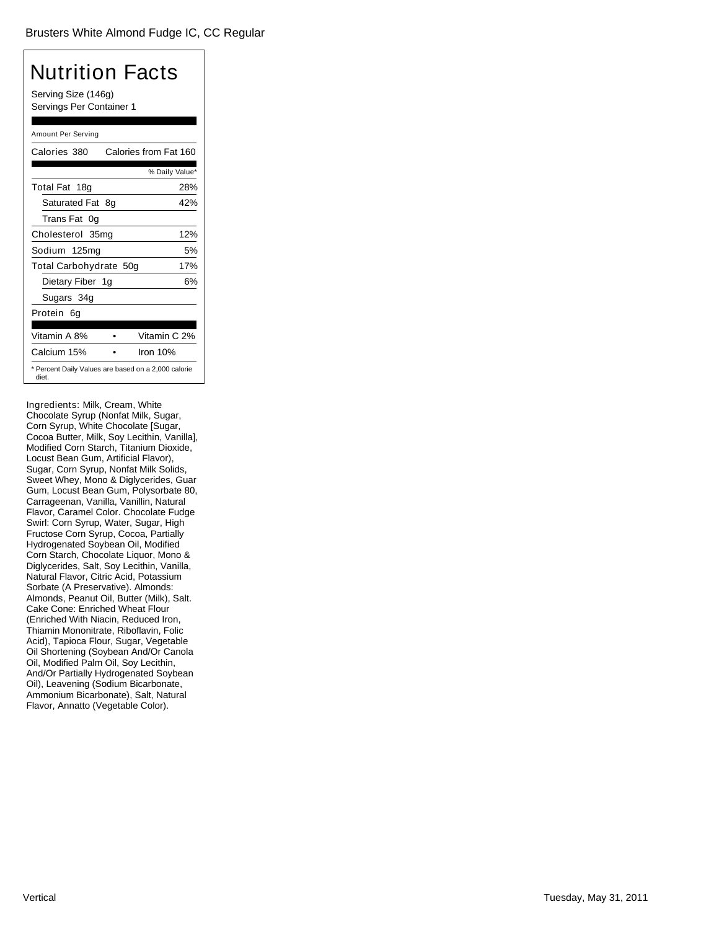Serving Size (146g) Servings Per Container 1

#### Amount Per Serving

| Calories 380                                                 |    | Calories from Fat 160 |
|--------------------------------------------------------------|----|-----------------------|
|                                                              |    | % Daily Value*        |
| Total Fat 18g                                                |    | 28%                   |
| Saturated Fat                                                | 8g | 42%                   |
| Trans Fat 0q                                                 |    |                       |
| Cholesterol 35mg                                             |    | 12%                   |
| Sodium 125mg                                                 |    | 5%                    |
| Total Carbohydrate 50g                                       |    | 17%                   |
| Dietary Fiber 1g                                             |    | 6%                    |
| Sugars 34g                                                   |    |                       |
| Protein 6q                                                   |    |                       |
|                                                              |    |                       |
| Vitamin A 8%                                                 |    | Vitamin C 2%          |
| Calcium 15%                                                  |    | Iron $10%$            |
| * Percent Daily Values are based on a 2,000 calorie<br>diet. |    |                       |

Ingredients: Milk, Cream, White Chocolate Syrup (Nonfat Milk, Sugar, Corn Syrup, White Chocolate [Sugar, Cocoa Butter, Milk, Soy Lecithin, Vanilla], Modified Corn Starch, Titanium Dioxide, Locust Bean Gum, Artificial Flavor), Sugar, Corn Syrup, Nonfat Milk Solids, Sweet Whey, Mono & Diglycerides, Guar Gum, Locust Bean Gum, Polysorbate 80, Carrageenan, Vanilla, Vanillin, Natural Flavor, Caramel Color. Chocolate Fudge Swirl: Corn Syrup, Water, Sugar, High Fructose Corn Syrup, Cocoa, Partially Hydrogenated Soybean Oil, Modified Corn Starch, Chocolate Liquor, Mono & Diglycerides, Salt, Soy Lecithin, Vanilla, Natural Flavor, Citric Acid, Potassium Sorbate (A Preservative). Almonds: Almonds, Peanut Oil, Butter (Milk), Salt. Cake Cone: Enriched Wheat Flour (Enriched With Niacin, Reduced Iron, Thiamin Mononitrate, Riboflavin, Folic Acid), Tapioca Flour, Sugar, Vegetable Oil Shortening (Soybean And/Or Canola Oil, Modified Palm Oil, Soy Lecithin, And/Or Partially Hydrogenated Soybean Oil), Leavening (Sodium Bicarbonate, Ammonium Bicarbonate), Salt, Natural Flavor, Annatto (Vegetable Color).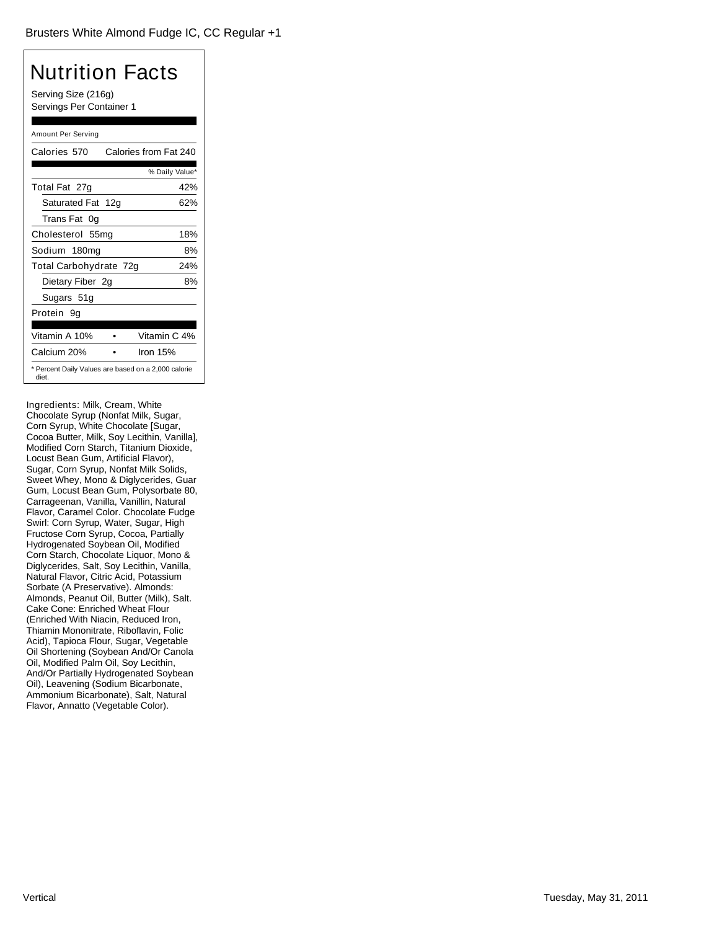Serving Size (216g) Servings Per Container 1

#### Amount Per Serving

| Calories 570                                                 | Calories from Fat 240 |
|--------------------------------------------------------------|-----------------------|
|                                                              | % Daily Value*        |
| Total Fat 27g                                                | 42%                   |
| Saturated Fat 12g                                            | 62%                   |
| Trans Fat 0q                                                 |                       |
| Cholesterol 55mg                                             | 18%                   |
| Sodium 180mg                                                 | 8%                    |
| Total Carbohydrate 72g                                       | 24%                   |
| Dietary Fiber 2g                                             | 8%                    |
| Sugars 51g                                                   |                       |
| Protein 9q                                                   |                       |
|                                                              |                       |
| Vitamin A 10%                                                | Vitamin C 4%          |
| Calcium 20%                                                  | Iron $15%$            |
| * Percent Daily Values are based on a 2,000 calorie<br>diet. |                       |

Ingredients: Milk, Cream, White Chocolate Syrup (Nonfat Milk, Sugar, Corn Syrup, White Chocolate [Sugar, Cocoa Butter, Milk, Soy Lecithin, Vanilla], Modified Corn Starch, Titanium Dioxide, Locust Bean Gum, Artificial Flavor), Sugar, Corn Syrup, Nonfat Milk Solids, Sweet Whey, Mono & Diglycerides, Guar Gum, Locust Bean Gum, Polysorbate 80, Carrageenan, Vanilla, Vanillin, Natural Flavor, Caramel Color. Chocolate Fudge Swirl: Corn Syrup, Water, Sugar, High Fructose Corn Syrup, Cocoa, Partially Hydrogenated Soybean Oil, Modified Corn Starch, Chocolate Liquor, Mono & Diglycerides, Salt, Soy Lecithin, Vanilla, Natural Flavor, Citric Acid, Potassium Sorbate (A Preservative). Almonds: Almonds, Peanut Oil, Butter (Milk), Salt. Cake Cone: Enriched Wheat Flour (Enriched With Niacin, Reduced Iron, Thiamin Mononitrate, Riboflavin, Folic Acid), Tapioca Flour, Sugar, Vegetable Oil Shortening (Soybean And/Or Canola Oil, Modified Palm Oil, Soy Lecithin, And/Or Partially Hydrogenated Soybean Oil), Leavening (Sodium Bicarbonate, Ammonium Bicarbonate), Salt, Natural Flavor, Annatto (Vegetable Color).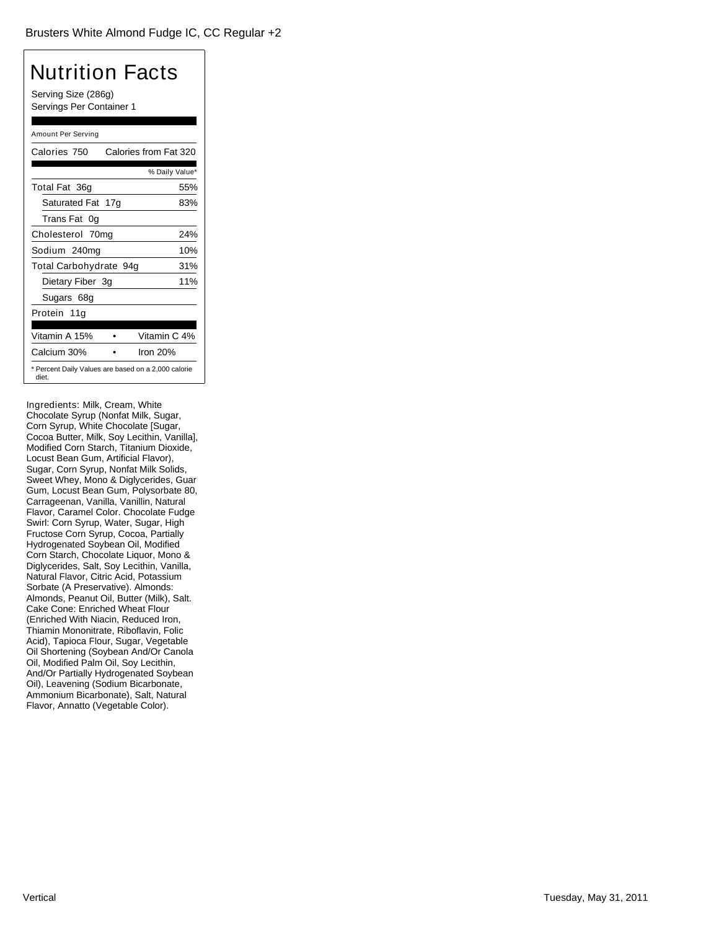Serving Size (286g) Servings Per Container 1

#### Amount Per Serving

| Calories 750                                                 | Calories from Fat 320 |
|--------------------------------------------------------------|-----------------------|
|                                                              | % Daily Value*        |
| Total Fat 36g                                                | 55%                   |
| Saturated Fat 17g                                            | 83%                   |
| Trans Fat 0g                                                 |                       |
| Cholesterol 70mg                                             | 24%                   |
| Sodium 240mg                                                 | 10%                   |
| Total Carbohydrate 94g                                       | 31%                   |
| Dietary Fiber 3g                                             | 11%                   |
| Sugars 68g                                                   |                       |
| Protein 11a                                                  |                       |
|                                                              |                       |
| Vitamin A 15%                                                | Vitamin C 4%          |
| Calcium 30%                                                  | Iron 20%              |
| * Percent Daily Values are based on a 2,000 calorie<br>diet. |                       |

Ingredients: Milk, Cream, White Chocolate Syrup (Nonfat Milk, Sugar, Corn Syrup, White Chocolate [Sugar, Cocoa Butter, Milk, Soy Lecithin, Vanilla], Modified Corn Starch, Titanium Dioxide, Locust Bean Gum, Artificial Flavor), Sugar, Corn Syrup, Nonfat Milk Solids, Sweet Whey, Mono & Diglycerides, Guar Gum, Locust Bean Gum, Polysorbate 80, Carrageenan, Vanilla, Vanillin, Natural Flavor, Caramel Color. Chocolate Fudge Swirl: Corn Syrup, Water, Sugar, High Fructose Corn Syrup, Cocoa, Partially Hydrogenated Soybean Oil, Modified Corn Starch, Chocolate Liquor, Mono & Diglycerides, Salt, Soy Lecithin, Vanilla, Natural Flavor, Citric Acid, Potassium Sorbate (A Preservative). Almonds: Almonds, Peanut Oil, Butter (Milk), Salt. Cake Cone: Enriched Wheat Flour (Enriched With Niacin, Reduced Iron, Thiamin Mononitrate, Riboflavin, Folic Acid), Tapioca Flour, Sugar, Vegetable Oil Shortening (Soybean And/Or Canola Oil, Modified Palm Oil, Soy Lecithin, And/Or Partially Hydrogenated Soybean Oil), Leavening (Sodium Bicarbonate, Ammonium Bicarbonate), Salt, Natural Flavor, Annatto (Vegetable Color).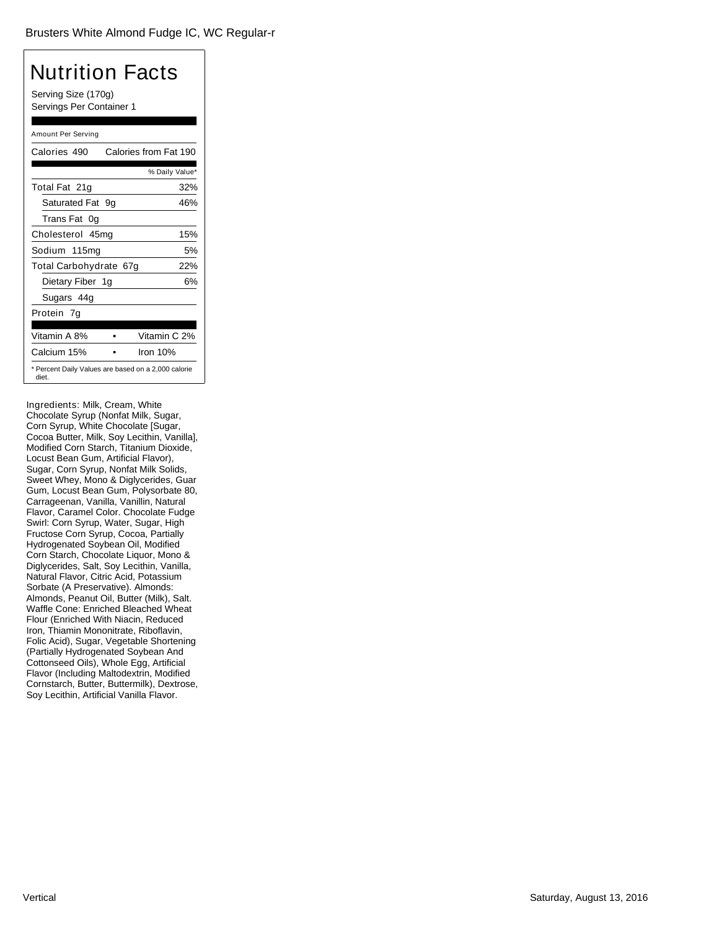Serving Size (170g) Servings Per Container 1

#### Amount Per Serving

| Calories 490           | Calories from Fat 190                               |
|------------------------|-----------------------------------------------------|
|                        | % Daily Value*                                      |
| Total Fat 21g          | 32%                                                 |
| Saturated Fat 9q       | 46%                                                 |
| Trans Fat 0q           |                                                     |
| Cholesterol 45mg       | 15%                                                 |
| Sodium 115mg           | 5%                                                  |
| Total Carbohydrate 67g | 22%                                                 |
| Dietary Fiber 1g       | 6%                                                  |
| Sugars 44g             |                                                     |
| Protein 7g             |                                                     |
|                        |                                                     |
| Vitamin A 8%           | Vitamin C 2%                                        |
| Calcium 15%            | Iron $10%$                                          |
| diet.                  | * Percent Daily Values are based on a 2,000 calorie |

Ingredients: Milk, Cream, White Chocolate Syrup (Nonfat Milk, Sugar, Corn Syrup, White Chocolate [Sugar, Cocoa Butter, Milk, Soy Lecithin, Vanilla], Modified Corn Starch, Titanium Dioxide, Locust Bean Gum, Artificial Flavor), Sugar, Corn Syrup, Nonfat Milk Solids, Sweet Whey, Mono & Diglycerides, Guar Gum, Locust Bean Gum, Polysorbate 80, Carrageenan, Vanilla, Vanillin, Natural Flavor, Caramel Color. Chocolate Fudge Swirl: Corn Syrup, Water, Sugar, High Fructose Corn Syrup, Cocoa, Partially Hydrogenated Soybean Oil, Modified Corn Starch, Chocolate Liquor, Mono & Diglycerides, Salt, Soy Lecithin, Vanilla, Natural Flavor, Citric Acid, Potassium Sorbate (A Preservative). Almonds: Almonds, Peanut Oil, Butter (Milk), Salt. Waffle Cone: Enriched Bleached Wheat Flour (Enriched With Niacin, Reduced Iron, Thiamin Mononitrate, Riboflavin, Folic Acid), Sugar, Vegetable Shortening (Partially Hydrogenated Soybean And Cottonseed Oils), Whole Egg, Artificial Flavor (Including Maltodextrin, Modified Cornstarch, Butter, Buttermilk), Dextrose, Soy Lecithin, Artificial Vanilla Flavor.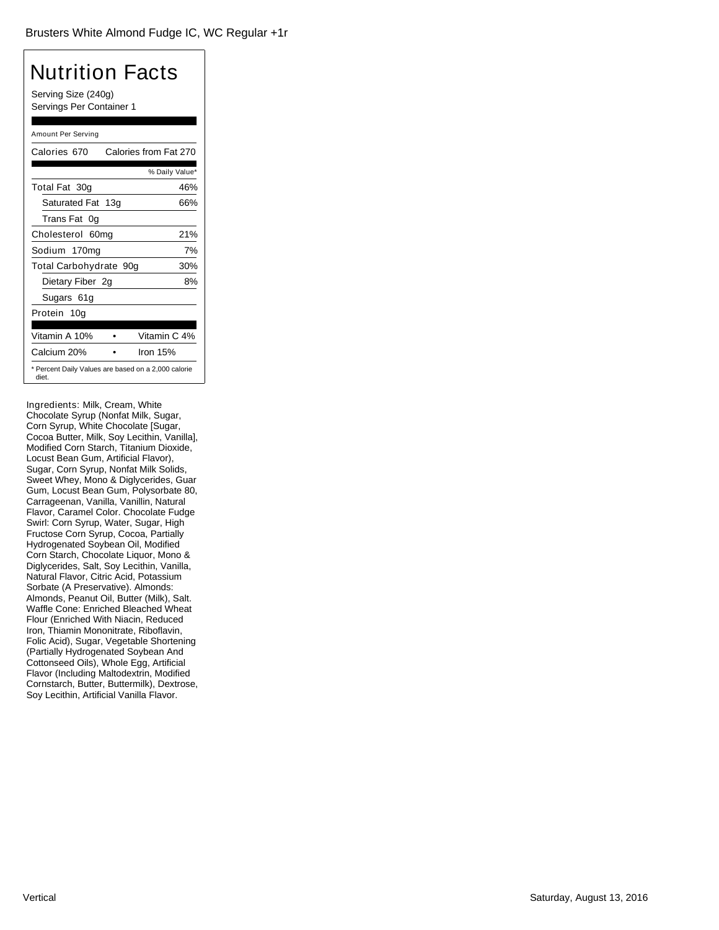Serving Size (240g) Servings Per Container 1

#### Amount Per Serving

| Calories 670           | Calories from Fat 270                               |
|------------------------|-----------------------------------------------------|
|                        | % Daily Value*                                      |
| Total Fat 30g          | 46%                                                 |
| Saturated Fat 13g      | 66%                                                 |
| Trans Fat 0q           |                                                     |
| Cholesterol 60mg       | 21%                                                 |
| Sodium 170mg           | 7%                                                  |
| Total Carbohydrate 90g | 30%                                                 |
| Dietary Fiber 2g       | 8%                                                  |
| Sugars 61g             |                                                     |
| Protein 10a            |                                                     |
|                        |                                                     |
| Vitamin A 10%          | Vitamin C 4%                                        |
| Calcium 20%            | Iron 15%                                            |
| diet.                  | * Percent Daily Values are based on a 2,000 calorie |

Ingredients: Milk, Cream, White Chocolate Syrup (Nonfat Milk, Sugar, Corn Syrup, White Chocolate [Sugar, Cocoa Butter, Milk, Soy Lecithin, Vanilla], Modified Corn Starch, Titanium Dioxide, Locust Bean Gum, Artificial Flavor), Sugar, Corn Syrup, Nonfat Milk Solids, Sweet Whey, Mono & Diglycerides, Guar Gum, Locust Bean Gum, Polysorbate 80, Carrageenan, Vanilla, Vanillin, Natural Flavor, Caramel Color. Chocolate Fudge Swirl: Corn Syrup, Water, Sugar, High Fructose Corn Syrup, Cocoa, Partially Hydrogenated Soybean Oil, Modified Corn Starch, Chocolate Liquor, Mono & Diglycerides, Salt, Soy Lecithin, Vanilla, Natural Flavor, Citric Acid, Potassium Sorbate (A Preservative). Almonds: Almonds, Peanut Oil, Butter (Milk), Salt. Waffle Cone: Enriched Bleached Wheat Flour (Enriched With Niacin, Reduced Iron, Thiamin Mononitrate, Riboflavin, Folic Acid), Sugar, Vegetable Shortening (Partially Hydrogenated Soybean And Cottonseed Oils), Whole Egg, Artificial Flavor (Including Maltodextrin, Modified Cornstarch, Butter, Buttermilk), Dextrose, Soy Lecithin, Artificial Vanilla Flavor.